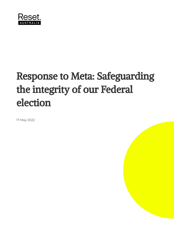

# Response to Meta: Safeguarding the integrity of our Federal election

17 May 2022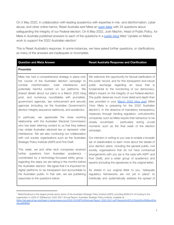On 2 May 2022, in collaboration with leading academics with expertise in mis- and disinformation, cyber abuse, and other online harms, Reset Australia sent Meta an [open](https://au.reset.tech/news/24-questions-about-safeguarding-the-integrity-of-our-federal-election/) letter with 24 questions about safeguarding the integrity of our Federal election. On 6 May 2022, Josh Machin, Head of Public Policy, for Meta in Australia published answers to each of the questions in a [public](https://australia.fb.com/post/update-on-metas-work-to-support-the-2022-australian-election/) blog titled 'Update on Meta's work to support the 2022 Australian election'.

This is Reset Australia's response. In some instances, we have asked further questions, or clarifications, as many of the answers are inadequate or incomplete.

**Question** and Meta Answer **Reset** Australia Response and Clarification

#### **Preamble**

Meta has had a comprehensive strategy in place over the course of the Australian election campaign to combat misinformation, voter interference and potentially harmful content on our platforms. We shared details about our plans in a March 2022 blog post, and numerous roundtables with journalists, government agencies, law enforcement and security agencies (including via the Australian Government's election integrity assurance taskforce), and academics.

In particular, we appreciate the close working relationship with the Australian Electoral Commission who has been referring content to us that they believe may violate Australian electoral law or represent voter interference. We are also continuing our collaboration with civil society organisations such as the Australian Strategic Policy Institute (ASPI) and First Draft.

This week, we and other tech companies received further questions from Australian academics – coordinated by a technology-focussed lobby group – regarding the steps we are taking in the months before the Australian election. We agree that it is important for digital platforms to be transparent and accountable to the Australian public. In that vein, we are publishing responses to the questions below.

We welcome the opportunity for factual clarification of the public record, and for this transparent and robust public exchange regarding an issue that is fundamental to the functioning of our democracy: Meta's impact on the integrity of our Federal election. The public deserves much more detail and depth than was provided in your [March](https://australia.fb.com/post/how-meta-is-preparing-for-the-2022-australian-election/) 2022 blog post (titled 'How Meta is preparing for the 2022 Australian election'). In the absence of mandatory transparency measures through binding regulation, untrustworthy companies such as Meta require their behaviour to be closely scrutinised - particularly during crucial moments such as the final week of the election campaign.

Our intention in writing to you was to enable a broader set of stakeholders to learn more about the details of your election plans, including the general public, civil society organisations that do not have contractual arrangements with you (as is the case with ASPI<sup>1</sup> and First Draft), and a wider group of academics and experts (including the signatories to the original letter).

As stated in our original letter to you, "adequate regulatory frameworks are not yet in place" to holistically and systematically address the spread of

Meta/Facebook is the largest private sector donor of the Australian Strategic Policy Institute (ASPI), providing \$269,574 of funding to the organisation in 2020-21 [Reference: 2020-2021 Annual Report, Australian Strategic Policy Institute, available at: [https://ad-aspi.s3.ap-southeast-2.amazonaws.com/2022-02/ASPI%20Annual-Report\\_2020-2021.pdf?VersionId=B7LG1EptgVEw39hBwyXHrx](https://ad-aspi.s3.ap-southeast-2.amazonaws.com/2022-02/ASPI%20Annual-Report_2020-2021.pdf?VersionId=B7LG1EptgVEw39hBwyXHrxAzLueB3BSL) [AzLueB3BSL\]](https://ad-aspi.s3.ap-southeast-2.amazonaws.com/2022-02/ASPI%20Annual-Report_2020-2021.pdf?VersionId=B7LG1EptgVEw39hBwyXHrxAzLueB3BSL)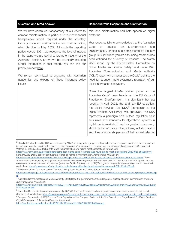| <b>Question and Meta Answer</b>                                                                                                                                                                                                                                                                                                                                                                                                                                                                                                                                                                                                                                   | <b>Reset Australia Response and Clarification</b>                                                                                                                                                                                                                                                                                                                                                                                                                                                                                                                                                                                                                                                                                                                                                                                                                                                                                                                                                                                                                                                                                                                                                                                                                                                                                                          |
|-------------------------------------------------------------------------------------------------------------------------------------------------------------------------------------------------------------------------------------------------------------------------------------------------------------------------------------------------------------------------------------------------------------------------------------------------------------------------------------------------------------------------------------------------------------------------------------------------------------------------------------------------------------------|------------------------------------------------------------------------------------------------------------------------------------------------------------------------------------------------------------------------------------------------------------------------------------------------------------------------------------------------------------------------------------------------------------------------------------------------------------------------------------------------------------------------------------------------------------------------------------------------------------------------------------------------------------------------------------------------------------------------------------------------------------------------------------------------------------------------------------------------------------------------------------------------------------------------------------------------------------------------------------------------------------------------------------------------------------------------------------------------------------------------------------------------------------------------------------------------------------------------------------------------------------------------------------------------------------------------------------------------------------|
| We will have continued transparency of our efforts to<br>combat misinformation in particular in our next annual<br>transparency report, required under the voluntary<br>industry code on misinformation and disinformation,<br>which is due in May 2022. Although the reporting<br>period covers 2021, we recognise the level of interest<br>in the steps we are taking to promote integrity of the<br>Australian election, so we will be voluntarily including<br>further information in that report. You can find our<br>previous report here.<br>We remain committed to engaging with Australian<br>academics and experts on these important policy<br>issues. | mis- and disinformation and hate speech on digital<br>platforms.<br>Your response fails to acknowledge that the Australian<br>Misinformation<br>Practice<br>Code<br>of<br>on<br>and<br>Disinformation, drafted and administered by industry<br>group DIGI (of which you are a founding member) has<br>been critiqued for a variety of reasons <sup>2</sup> . The March<br>2022 report by the House Select Committee on<br>Social Media and Online Safety <sup>3</sup> and June 2021<br>Australian Communication and Media Authority<br>(ACMA) report which assessed the Code <sup>4</sup> point to the<br>need for stronger, more systematic regulation of our<br>digital information ecosystem.<br>Given the original ACMA position paper for the<br>Australian Code <sup>5</sup> drew heavily on the EU Code of<br>Practice on Disinformation, it is significant that just<br>recently, in April 2022, the landmark EU legislation,<br>the Digital Services Act (DSA) <sup>6</sup> (companion to the<br>Digital Markets Act (DMA)) was approved. The DSA<br>represents a paradigm shift in tech regulation as it<br>sets rules and standards for algorithmic systems in<br>digital media markets. It requires greater transparency<br>about platforms' data and algorithms, including audits<br>and fines of up to six percent of their annual sales for |

 $2$  The draft Code released by DIGI was critiqued by ACMA as being "a long way from the model that we proposed to address these important issues", and recently described the Code as being "too narrow" to prevent the harms of mis- and disinformation [references: Samios, Z, & Vistenin, L. (2020) ACMA: Tech giants' code to handle fake news fails to meet expectations. Available at:

<sup>3</sup> Parliament of the Commonwealth of Australia (2022) Social Media and Online Safety. Available at:

<https://eur-lex.europa.eu/legal-content/EN/TXT/PDF/?uri=CELEX:52020PC0825&from=en>

<https://www.smh.com.au/politics/federal/acma-tech-giants-code-to-handle-fake-news-fails-to-meet-expectations-20201026-p568oq.html>; Karp, P (2022) Digital code of conduct fails to stop all harms of misinformation, Acma warns. Available at:

[https://www.theguardian.com/media/2022/mar/21/digital-code-of-conduct-fails-to-stop-all-harms-of-misinformation-acma-warns\]](https://www.theguardian.com/media/2022/mar/21/digital-code-of-conduct-fails-to-stop-all-harms-of-misinformation-acma-warns). Reset Australia and other digital rights organisations have critiqued the self-regulatory model of the Code that means it is voluntary, opt-in, has little enforcement mechanisms and no penalties [reference: Smith, P. & Ward, M. (2022) Tech giants' 'laughable' disinformation solution slammed. Available at: <https://www.afr.com/technology/tech-giants-laughable-disinformation-solution-slammed-20211010-p58ys8>].

[https://parlinfo.aph.gov.au/parlInfo/download/committees/reportrep/024877/toc\\_pdf/SocialMediaandOnlineSafety.pdf;fileType=application%2Fp](https://parlinfo.aph.gov.au/parlInfo/download/committees/reportrep/024877/toc_pdf/SocialMediaandOnlineSafety.pdf;fileType=application%2Fpdf) [df](https://parlinfo.aph.gov.au/parlInfo/download/committees/reportrep/024877/toc_pdf/SocialMediaandOnlineSafety.pdf;fileType=application%2Fpdf)

<sup>4&</sup>lt;br><sup>4</sup> Australian Communication and Media Authority (2021) Report to government on the adequacy of digital platforms' disinformation and news quality measures. Available at:

[https://www.acma.gov.au/sites/default/files/2021-11/Adequacy%20of%20digital%20platforms%20disinformation%20and%20news%20quality](https://www.acma.gov.au/sites/default/files/2021-11/Adequacy%20of%20digital%20platforms%20disinformation%20and%20news%20quality%20measures.pdf) [%20measures.pdf](https://www.acma.gov.au/sites/default/files/2021-11/Adequacy%20of%20digital%20platforms%20disinformation%20and%20news%20quality%20measures.pdf)

<sup>5</sup> Australian Communication and Media Authority (2020) Online misinformation and news quality in Australia: Position paper to guide code development. Available at: <https://www.acma.gov.au/online-misinformation-and-news-quality-australia-position-paper-guide-code-development>

 $6$  European Commission (2020) Proposal For A Regulation of the European Parliament & of the Council on a Single Market For Digital Services (Digital Services Act) & Amending Directive. Available at: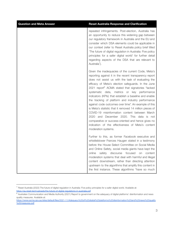| <b>Question and Meta Answer</b> | <b>Reset Australia Response and Clarification</b>                                                                                                                                                                                                                                                                                                                                                                                                                                                                                                                                                                                                                                                                                                                                                                    |
|---------------------------------|----------------------------------------------------------------------------------------------------------------------------------------------------------------------------------------------------------------------------------------------------------------------------------------------------------------------------------------------------------------------------------------------------------------------------------------------------------------------------------------------------------------------------------------------------------------------------------------------------------------------------------------------------------------------------------------------------------------------------------------------------------------------------------------------------------------------|
|                                 | repeated infringements. Post-election, Australia has<br>an opportunity to reduce this widening gap between<br>our regulatory framework in Australia and the EU and<br>consider which DSA elements could be applicable in<br>our context (refer to Reset Australia policy brief titled<br>'The future of digital regulation in Australia: Five policy<br>principles for a safer digital world' for further detail<br>regarding aspects of the DSA that are relevant to<br>Australia <sup>'</sup> ).                                                                                                                                                                                                                                                                                                                   |
|                                 | Given the inadequacies of the current Code, Meta's<br>reporting against it in the recent transparency report<br>does not assist us with the task of evaluating the<br>efficacy of Meta's election safeguards. In the June<br>2021 report <sup>8</sup> ACMA stated that signatories "lacked<br>metrics<br>systematic data,<br>or key<br>performance<br>indicators (KPIs) that establish a baseline and enable<br>the tracking of platform and industry performance<br>against code outcomes over time". An example of this<br>is Meta's statistic that it removed 14 million pieces of<br>COVID-19 misinformation content between March<br>2020 and December 2020. This data is not<br>comparative or success-oriented and hence gives no<br>indication of the effectiveness of Meta's content<br>moderation systems. |
|                                 | Further to this, as former Facebook executive and<br>whistleblower Frances Haugen stated in a testimony<br>before the House Select Committee on Social Media<br>and Online Safety, social media giants have kept the<br>safety discourse<br>focused<br>online<br>on<br>content<br>moderation systems that deal with harmful and illegal<br>content downstream, rather than directing attention<br>upstream to the algorithms that amplify this content in<br>the first instance. These algorithms "have so much                                                                                                                                                                                                                                                                                                      |

 $^7$  Reset Australia (2022) The future of digital regulation in Australia: Five policy principles for a safer digital world. Available at: <https://au.reset.tech/uploads/the-future-of-digital-regulations-in-australia.pdf>

<sup>8</sup> Australian Communication and Media Authority (2021) Report to government on the adequacy of digital platforms' disinformation and news quality measures. Available at:

[https://www.acma.gov.au/sites/default/files/2021-11/Adequacy%20of%20digital%20platforms%20disinformation%20and%20news%20quality](https://www.acma.gov.au/sites/default/files/2021-11/Adequacy%20of%20digital%20platforms%20disinformation%20and%20news%20quality%20measures.pdf) [%20measures.pdf](https://www.acma.gov.au/sites/default/files/2021-11/Adequacy%20of%20digital%20platforms%20disinformation%20and%20news%20quality%20measures.pdf)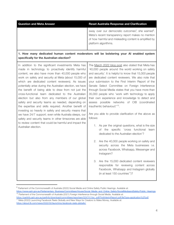| Question and Meta Answer | <b>Reset Australia Response and Clarification</b>                                                                                                                                                    |
|--------------------------|------------------------------------------------------------------------------------------------------------------------------------------------------------------------------------------------------|
|                          | sway over our democratic outcomes", she warned <sup>9</sup> .<br>Meta's recent transparency report makes no mention<br>of how harmful and misleading content is amplified by<br>platform algorithms. |
|                          |                                                                                                                                                                                                      |

#### **1. How many dedicated human content moderators will be bolstering your AI enabled system specifically for the Australian election?**

In addition to the significant investments Meta has made in technology to proactively identify harmful content, we also have more than 40,000 people who work on safety and security at Meta (about 15,000 of which are dedicated content reviewers). As issues potentially arise during the Australian election, we have the benefit of being able to draw from not just the cross-functional team dedicated to the Australian election but also from any members of our global safety and security teams as needed, depending on the expertise and skills required. Another benefit of investing so heavily in safety and security means that we have 24/7 support; even while Australia sleeps, our safety and security teams in other timezones are able to review content that could be harmful and impact the Australian election. The [March](https://australia.fb.com/post/how-meta-is-preparing-for-the-2022-australian-election/) 2022 blog post also stated that Meta has '40,000 people around the world working on safety and security'. It is helpful to know that 15,000 people follows: Instagram?

are dedicated content reviewers. We also note that your submission to the First Interim Report of the Senate Select Committee on Foreign Interference through Social Media states that you have more than 35,000 people who 'work with technology to apply their own experience and knowledge to detect and assess possible networks of CIB (coordinated inauthentic behaviour)<sup>110</sup>.

Are you able to provide clarification of the above as

- 1. As per the original questions, what is the size of the specific 'cross functional team dedicated to the Australian election'?
- 2. Are the 40,000 people working on safety and security across the Meta businesses i.e. across Facebook, Whatsapp, Messenger and
- 3. Are the 15,000 dedicated content reviewers responsible for reviewing content across Facebook, Whatsapp and Instagram globally (in at least 150 countries<sup>11</sup>)?

<sup>9</sup> Parliament of the Commonwealth of Australia (2022) Social Media and Online Safety Public Hearings. Available at: [https://www.aph.gov.au/Parliamentary\\_Business/Committees/House/Social\\_Media\\_and\\_Online\\_Safety/SocialMediaandSafety/Public\\_Hearings](https://www.aph.gov.au/Parliamentary_Business/Committees/House/Social_Media_and_Online_Safety/SocialMediaandSafety/Public_Hearings)

<sup>&</sup>lt;sup>11</sup> Meta (2022) Launching Facebook Reels Globally and New Ways for Creators to Make Money, Available at: <sup>10</sup> Parliament of the Commonwealth of Australia (2021) Foreign Interference through Social Media. Available at: [https://parlinfo.aph.gov.au/parlInfo/download/committees/reportsen/024741/toc\\_pdf/FirstInterimReport.pdf;fileType=application%2Fpdf](https://parlinfo.aph.gov.au/parlInfo/download/committees/reportsen/024741/toc_pdf/FirstInterimReport.pdf;fileType=application%2Fpdf)

<https://about.fb.com/news/2022/02/launching-facebook-reels-globally/>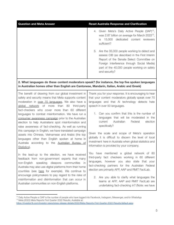| <b>Question and Meta Answer</b>                                                                                                                                                                                                                                                                                                                                                | <b>Reset Australia Response and Clarification</b>                                                                                                                                                                                                                                          |
|--------------------------------------------------------------------------------------------------------------------------------------------------------------------------------------------------------------------------------------------------------------------------------------------------------------------------------------------------------------------------------|--------------------------------------------------------------------------------------------------------------------------------------------------------------------------------------------------------------------------------------------------------------------------------------------|
|                                                                                                                                                                                                                                                                                                                                                                                | 4. Given Meta's Daily Active People (DAP) <sup>12</sup> ,<br>was 2.87 billion on average for March 2022 <sup>13</sup> ,<br>15,000<br>dedicated content reviewers<br>is<br>sufficient?                                                                                                      |
|                                                                                                                                                                                                                                                                                                                                                                                | 5. Are the 35,000 people working to detect and<br>assess CIB (as described in the First Interim<br>Report of the Senate Select Committee on<br>Foreign Interference through Social Media)<br>part of the 40,000 people working on safety<br>and security?                                  |
| 2. What languages do these content moderators speak? (for instance, the top five spoken languages<br>in Australian homes other than English are Cantonese, Mandarin, Italian, Arabic and Greek)                                                                                                                                                                                |                                                                                                                                                                                                                                                                                            |
| The benefit of drawing from our global investment in<br>safety and security means that Meta supports content<br>moderation in over 70 languages. We also have a<br>global network of more than 80<br>third-party<br>fact-checkers who cover more than 60 different<br>languages to combat misinformation. We have run a<br>consumer awareness campaign prior to the Australian | Thank you for your response. It is encouraging to hear<br>that your content moderators globally speak over 70<br>languages and that AI technology detects hate<br>speech in over 50 languages.<br>1. Can you confirm that this is the number of<br>languages that will be moderated in the |
| election to help Australians spot misinformation and                                                                                                                                                                                                                                                                                                                           | Australian<br>Federal<br>election<br>current                                                                                                                                                                                                                                               |

raise awareness of fact-checking. As well as running this campaign in English, we have translated campaign assets into Chinese, Vietnamese and Arabic (the top languages other than English spoken at home in Australia according to the [Australian](https://www.abs.gov.au/ausstats/abs@.nsf/lookup/media%20release3) Bureau of Given the scale and scope of Meta's operation globally it is difficult to discern the level of local investment here in Australia when global statistics and information is provided by your company.

specifically?

You have mentioned a global network of 80 third-party fact checkers working in 60 different languages, however you also state that your fact-checking partners for the Australian Federal election are primarily AFP, AAP and RMIT FactLab.

2. Are you able to clarify what languages the teams at AFP, AAP and RMIT FactLab are undertaking fact-checking in? (Note: we have

[Statistics](https://www.abs.gov.au/ausstats/abs@.nsf/lookup/media%20release3)).

In the lead-up to the election, we have received feedback from non-government experts that many non-English speaking diaspora communities in Australia may also use digital platforms from their home countries (see [here](https://firstdraftnews.org/articles/misinfo-chinese-diaspora/) for example). We continue to encourage policymakers to pay regard to the risks of misinformation and disinformation that can occur in Australian communities on non-English platforms.

<sup>&</sup>lt;sup>13</sup> Meta (2022) Meta Reports First Quarter 2022 Results, Available at: <sup>12</sup> Daily Active People or DAP is the number of people who have logged into Facebook, Instagram, Messenger, and/or WhatsApp

<https://investor.fb.com/investor-news/press-release-details/2022/Meta-Reports-First-Quarter-2022-Results/default.aspx>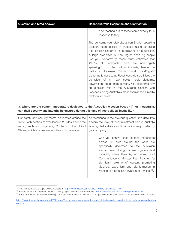| <b>Question and Meta Answer</b>                                                                                                                                                                                         | <b>Reset Australia Response and Clarification</b>                                                                                                                                                                                                                                                                                                                                                                                                                                                                                                                                                                                                                                                                                                                            |
|-------------------------------------------------------------------------------------------------------------------------------------------------------------------------------------------------------------------------|------------------------------------------------------------------------------------------------------------------------------------------------------------------------------------------------------------------------------------------------------------------------------------------------------------------------------------------------------------------------------------------------------------------------------------------------------------------------------------------------------------------------------------------------------------------------------------------------------------------------------------------------------------------------------------------------------------------------------------------------------------------------------|
|                                                                                                                                                                                                                         | also reached out to these teams directly for a<br>response to this).                                                                                                                                                                                                                                                                                                                                                                                                                                                                                                                                                                                                                                                                                                         |
|                                                                                                                                                                                                                         | The concerns you raise about non-English speaking<br>diaspora communities in Australia using so-called<br>'non-English platforms' is not relevant to the question.<br>A large proportion of non-English speaking people<br>use your platforms (a recent study estimated that<br>49.6%<br>of Facebook users<br>are<br>non-English<br>speaking <sup>14</sup> ), including within Australia, hence the<br>distinction between 'English' and 'non-English'<br>platforms is not useful. Reset Australia scrutinises the<br>behaviour of all major social media platforms,<br>however the focus here is Meta. Your platforms play<br>an outsized role in the Australian election with<br>Facebook being Australia's most popular social media<br>platform for news <sup>15</sup> . |
| 3. Where are the content moderators dedicated to the Australian election based? If not in Australia,<br>can their security and integrity be ensured during this time of geo-political instability?                      |                                                                                                                                                                                                                                                                                                                                                                                                                                                                                                                                                                                                                                                                                                                                                                              |
| Our safety and security teams are located around the<br>world, with centres of excellence in 20 sites around the<br>world, such as Singapore, Dublin and the United<br>States, which ensures around-the-clock coverage. | As mentioned in the previous question, it is difficult to<br>discern the level of local investment here in Australia<br>when global statistics and information are provided by<br>your company.                                                                                                                                                                                                                                                                                                                                                                                                                                                                                                                                                                              |
|                                                                                                                                                                                                                         | Can you confirm that content moderators<br>across 20 sites around the world are<br>specifically<br>dedicated to the Australian<br>election, even during this time of geo-political<br>instability where there is, in the words of<br>Communications Minister Paul Fletcher, "a<br>significant volume of content promoting<br>violence, extremism and disinformation in<br>relation to the Russian invasion of Ukraine" <sup>16</sup> ?                                                                                                                                                                                                                                                                                                                                       |

<sup>14</sup> We Are Social (2021) Digital 2021. Available at: <https://wearesocial.com/uk/blog/2021/01/digital-2021-uk/>

<sup>15</sup> Reuters Institute & University of Oxford (2020) Digital News Report. Available at: <https://www.digitalnewsreport.org/survey/2020/>

<sup>&</sup>lt;sup>16</sup> Hurst, D. & Butler, J (2022) Morrison government asks Facebook, Twitter and Google to block Russian state media 'disinformation'. Available at:

[https://www.theguardian.com/world/2022/mar/03/morrison-government-asks-facebook-twitter-and-google-to-block-russian-state-media-disinf](https://www.theguardian.com/world/2022/mar/03/morrison-government-asks-facebook-twitter-and-google-to-block-russian-state-media-disinformation) [ormation](https://www.theguardian.com/world/2022/mar/03/morrison-government-asks-facebook-twitter-and-google-to-block-russian-state-media-disinformation)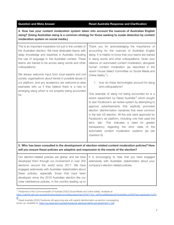#### **Question** and Meta Answer **Reset** Australia Response and Clarification

**4. How has your content moderation system taken into account the nuances of Australian English slang? (Using Australian slang is a common strategy for those seeking to evade detection by content moderation system on social media.)**

| This is an important imperative not just in the context of<br>the Australian election. We have dedicated teams with<br>deep knowledge and expertise in Australia, including<br>the use of language in the Australian context. These<br>teams are trained to be across slang words and other<br>colloquialisms. | Thank you for acknowledging the importance of<br>accounting for the nuances of Australian English<br>slang. It is helpful to know that your teams are trained<br>in slang words and other colloquialisms. Given your<br>reliance on automated content moderation, alongside<br>human content moderation (as described in the<br>recent House Select Committee on Social Media and                                                                                                                                                                                                  |
|----------------------------------------------------------------------------------------------------------------------------------------------------------------------------------------------------------------------------------------------------------------------------------------------------------------|------------------------------------------------------------------------------------------------------------------------------------------------------------------------------------------------------------------------------------------------------------------------------------------------------------------------------------------------------------------------------------------------------------------------------------------------------------------------------------------------------------------------------------------------------------------------------------|
| We always welcome input from local experts and civil<br>society organisations about trends in possible abuse of                                                                                                                                                                                                | Online Safety <sup>17</sup> ),                                                                                                                                                                                                                                                                                                                                                                                                                                                                                                                                                     |
| our platform, and any academics are welcome to raise<br>examples with us if they believe there is a new or<br>emerging slang which is not properly being accounted                                                                                                                                             | how do these technologies account for slang<br>1.<br>and colloquialisms?                                                                                                                                                                                                                                                                                                                                                                                                                                                                                                           |
| for.                                                                                                                                                                                                                                                                                                           | One example of slang not being accounted for is a<br>recent experiment by Reset Australia <sup>18</sup> which sought<br>to test Facebook's ad review system by attempting to<br>approve advertisements that explicitly promoted<br>election disinformation narratives that were common<br>in the last US election. All five ads were approved by<br>Facebook's ad platform, including one that used the<br>term 'jab'. This indicates a need for greater<br>transparency regarding the error rates<br>of the<br>automated content moderation systems<br>(as<br>per<br>Question 6). |

#### **5. Who has been consulted in the development of election-related content moderation policies? How will you ensure these policies are adaptive and responsive to the events of the election?**

| Our election-related policies are global, and we have It is encouraging to hear that you have engaged  |  |
|--------------------------------------------------------------------------------------------------------|--|
| developed them through our involvement in over 200 extensively with Australian stakeholders about your |  |
| elections around the world since 2017. We have   company's election-related policies.                  |  |
| engaged extensively with Australian stakeholders about                                                 |  |
| these policies, especially those that have been                                                        |  |
| developed since the 2019 Australian election like our                                                  |  |
| voter interference policies, in the months leading up to                                               |  |
|                                                                                                        |  |

<sup>&</sup>lt;sup>17</sup> Parliament of the Commonwealth of Australia (2022) Social Media and Online Safety. Available at: [https://parlinfo.aph.gov.au/parlInfo/download/committees/reportrep/024877/toc\\_pdf/SocialMediaandOnlineSafety.pdf;fileType=application%2Fp](https://parlinfo.aph.gov.au/parlInfo/download/committees/reportrep/024877/toc_pdf/SocialMediaandOnlineSafety.pdf;fileType=application%2Fpdf) [df](https://parlinfo.aph.gov.au/parlInfo/download/committees/reportrep/024877/toc_pdf/SocialMediaandOnlineSafety.pdf;fileType=application%2Fpdf)

<sup>&</sup>lt;sup>18</sup> Reset Australia (2022) Facebook still approving ads with explicit disinformation as election campaigning ramps up. Available at: <https://au.reset.tech/uploads/facebook-electoral-disinfo-ad-experiment-1.pdf>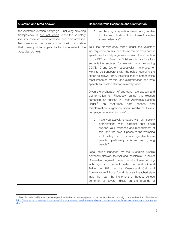| <b>Question and Meta Answer</b>                                                                                                                                                                                            | <b>Reset Australia Response and Clarification</b>                                                                                                                                                                                                                                                                                                                                                                                                                                                                                                              |
|----------------------------------------------------------------------------------------------------------------------------------------------------------------------------------------------------------------------------|----------------------------------------------------------------------------------------------------------------------------------------------------------------------------------------------------------------------------------------------------------------------------------------------------------------------------------------------------------------------------------------------------------------------------------------------------------------------------------------------------------------------------------------------------------------|
| the Australian election campaign - including providing<br>transparency in our last report under the voluntary<br>industry code on misinformation and disinformation.<br>No stakeholder has raised concerns with us to date | 1. As the original question states, are you able<br>to give an indication of who these Australian<br>stakeholders are?                                                                                                                                                                                                                                                                                                                                                                                                                                         |
| that these policies appear to be inadequate in the<br>Australian context.                                                                                                                                                  | Your last transparency report under the voluntary<br>industry code on mis- and disinformation does not list<br>specific civil society organisations (with the exception<br>of UNICEF and Save the Children who are listed as<br>authoritative sources for misinformation regarding<br>COVID-19 and QAnon respectively). It is crucial for<br>Meta to be transparent with the public regarding the<br>expertise drawn upon, including that of communities<br>most impacted by mis- and disinformation and hate<br>speech, to develop election-related policies. |
|                                                                                                                                                                                                                            | Given the proliferation of anti-trans hate speech and<br>disinformation on Facebook during this election<br>campaign (as outlined in Reset Australia's Election<br>Radar <sup>19</sup><br>'Anti-trans<br>on<br>hate<br>speech<br>and<br>misinformation surges on social media as Deves'<br>campaign occupies headlines'),                                                                                                                                                                                                                                      |
|                                                                                                                                                                                                                            | 2. have you actively engaged with civil society<br>organisations with expertise that could<br>support your response and management of<br>this, and the risks it poses to the wellbeing<br>and safety of trans and gender-diverse<br>people, particularly children and<br>young<br>people?                                                                                                                                                                                                                                                                      |
|                                                                                                                                                                                                                            | Legal action launched by the Australian Muslim<br>Advocacy Network (AMAN) and the Islamic Council of<br>Queensland against former Senator Fraser Anning<br>with regards to content posted on Facebook and<br>Twitter in 2021 in the Queensland Civil and<br>Administrative Tribunal found his posts breached state<br>laws that ban the incitement of hatred, serious<br>contempt or severe ridicule on the grounds of                                                                                                                                         |

<sup>&</sup>lt;sup>19</sup> Reset Australia (2022) Anti-trans hate speech and misinformation surges on social media as Deves' campaign occupies headlines. Available at: [https://au.reset.tech/news/election-radar-anti-trans-hate-speech-and-misinformation-surges-on-social-media-as-deves-campaign-occupies-hea](https://au.reset.tech/news/election-radar-anti-trans-hate-speech-and-misinformation-surges-on-social-media-as-deves-campaign-occupies-headlines/) [dlines/](https://au.reset.tech/news/election-radar-anti-trans-hate-speech-and-misinformation-surges-on-social-media-as-deves-campaign-occupies-headlines/)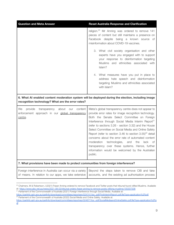| <b>Question and Meta Answer</b>                                                                                                                         | <b>Reset Australia Response and Clarification</b>                                                                                                                                                                                                                                                                                                                                                                                                                                                                                                                                                                                                      |
|---------------------------------------------------------------------------------------------------------------------------------------------------------|--------------------------------------------------------------------------------------------------------------------------------------------------------------------------------------------------------------------------------------------------------------------------------------------------------------------------------------------------------------------------------------------------------------------------------------------------------------------------------------------------------------------------------------------------------------------------------------------------------------------------------------------------------|
|                                                                                                                                                         | religion. <sup>20</sup> Mr Anning was ordered to remove 141<br>pieces of content but still maintains a presence on<br>Facebook despite being a known source of<br>misinformation about COVID-19 vaccines.                                                                                                                                                                                                                                                                                                                                                                                                                                              |
|                                                                                                                                                         | 3. What civil society organisation and other<br>experts have you engaged with to support<br>your response to disinformation targeting<br>Muslims and ethnicities associated with<br>Islam?                                                                                                                                                                                                                                                                                                                                                                                                                                                             |
|                                                                                                                                                         | 4. What measures have you put in place to<br>address hate speech and disinformation<br>targeting Muslims and ethnicities associated<br>with Islam?                                                                                                                                                                                                                                                                                                                                                                                                                                                                                                     |
| 6. What AI enabled content moderation system will be deployed during the election, including image<br>recognition technology? What are the error rates? |                                                                                                                                                                                                                                                                                                                                                                                                                                                                                                                                                                                                                                                        |
| We<br>provide<br>transparency<br>about<br>content<br>our<br>enforcement approach in our global transparency<br>centre.                                  | Meta's global transparency centre does not appear to<br>provide error rates for image recognition technology.<br>Both the Senate Select Committee on Foreign<br>Interference through Social Media Interim Report <sup>21</sup><br>(refer to sections 3.26 - section 3.32) and the House<br>Select Committee on Social Media and Online Safety<br>Report (refer to section 3.46 to section 3.55) <sup>22</sup> detail<br>concerns about the error rate of automated content<br>moderation<br>technologies,<br>and<br>the<br>lack<br>0t<br>transparency over these systems. Hence, further<br>information would be welcomed by the Australian<br>public. |
| 7. What provisions have been made to protect communities from foreign interference?                                                                     |                                                                                                                                                                                                                                                                                                                                                                                                                                                                                                                                                                                                                                                        |
| Foreign interference in Australia can occur via a variety<br>of means. In relation to our apps, we take extensive                                       | Beyond the steps taken to remove CIB and fake<br>accounts, and the existing ad authorisation process                                                                                                                                                                                                                                                                                                                                                                                                                                                                                                                                                   |

<sup>&</sup>lt;sup>20</sup> Chalmers, M & Robertson J (2021) Fraser Anning ordered to remove Facebook and Twitter posts that tribunal found vilified Muslims. Available at: <https://www.abc.net.au/news/2021-08-03/tribunal-orders-fraser-anning-to-remove-posts-vilifying-muslims/100337536>

<sup>&</sup>lt;sup>21</sup> Parliament of the Commonwealth of Australia (2021) Foreign Interference through Social Media. Available at:

 $22$  Parliament of the Commonwealth of Australia (2022) Social Media and Online Safety. Available at: [https://parlinfo.aph.gov.au/parlInfo/download/committees/reportsen/024741/toc\\_pdf/FirstInterimReport.pdf;fileType=application%2Fpdf](https://parlinfo.aph.gov.au/parlInfo/download/committees/reportsen/024741/toc_pdf/FirstInterimReport.pdf;fileType=application%2Fpdf)

[https://parlinfo.aph.gov.au/parlInfo/download/committees/reportrep/024877/toc\\_pdf/SocialMediaandOnlineSafety.pdf;fileType=application%2Fp](https://parlinfo.aph.gov.au/parlInfo/download/committees/reportrep/024877/toc_pdf/SocialMediaandOnlineSafety.pdf;fileType=application%2Fpdf) [df](https://parlinfo.aph.gov.au/parlInfo/download/committees/reportrep/024877/toc_pdf/SocialMediaandOnlineSafety.pdf;fileType=application%2Fpdf)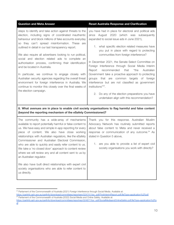| steps to identify and take action against threats to the<br>election, including signs of coordinated inauthentic<br>behaviour and block millions of fake accounts everyday                                                          | you have had in place for electoral and political ads<br>August 2020 (which was subsequently<br>since<br>expanded to social issue ads in June 2021),                                  |
|-------------------------------------------------------------------------------------------------------------------------------------------------------------------------------------------------------------------------------------|---------------------------------------------------------------------------------------------------------------------------------------------------------------------------------------|
| so they can't spread misinformation. These are<br>outlined in detail in our last transparency report.                                                                                                                               | 1. what specific election related measures have<br>you put in place with regard to protecting                                                                                         |
| We also require all advertisers looking to run political,<br>social and election related ads to complete an                                                                                                                         | communities from foreign interference?                                                                                                                                                |
| authorisation process, confirming their identification<br>and be located in Australia.                                                                                                                                              | In December 2021, the Senate Select Committee on<br>Foreign Interference through Social Media Interim<br>Report recommended that<br>the "<br>Australian                               |
| In particular, we continue to engage closely with<br>Australian security agencies regarding the overall threat<br>environment for foreign interference in Australia. We<br>continue to monitor this closely over the final weeks of | Government take a proactive approach to protecting<br>groups that are common targets of foreign<br>interference but are not classified as government<br>institutions" <sup>23</sup> . |
| the election campaign.                                                                                                                                                                                                              | 2. Do any of the election preparations you have<br>undertaken align with this recommendation?                                                                                         |

#### **8. What avenues are in place to enable civil society organisations to flag harmful and false content (beyond the reporting mechanism of the eSafety Commissioner)?**

| The community has a wide-array of mechanisms                | Thank you for this response. Australian Muslim             |
|-------------------------------------------------------------|------------------------------------------------------------|
| available to report potentially harmful or false content to | Advocacy Network has routinely submitted reports           |
| us. We have easy and simple in-app reporting for every      | about false content to Meta and never received a           |
| piece of content. We also have close working                | response or communication of any outcome. <sup>24</sup> As |
| relationships with Australian regulators, like the eSafety  | stated in Question 5 above,                                |
| Commissioner and Australian Electoral Commission,           |                                                            |
| who are able to quickly and easily refer content to us.     | 1. are you able to provide a list of expert civil          |
| We take a 'no closed door' approach to content review       | society organisations you work with directly?              |
| where we will review any and all content sent to us by      |                                                            |
| an Australian regulator.                                    |                                                            |
|                                                             |                                                            |
| We also have built direct relationships with expert civil   |                                                            |
| society organisations who are able to refer content to      |                                                            |
| us directly.                                                |                                                            |
|                                                             |                                                            |

## **Question** and Meta Answer<br> **Reset Australia Response and Clarification**

<sup>&</sup>lt;sup>23</sup> Parliament of the Commonwealth of Australia (2021) Foreign Interference through Social Media. Available at: [https://parlinfo.aph.gov.au/parlInfo/download/committees/reportsen/024741/toc\\_pdf/FirstInterimReport.pdf;fileType=application%2Fpdf](https://parlinfo.aph.gov.au/parlInfo/download/committees/reportsen/024741/toc_pdf/FirstInterimReport.pdf;fileType=application%2Fpdf)

 $24$  Parliament of the Commonwealth of Australia (2022) Social Media and Online Safety. Available at: [https://parlinfo.aph.gov.au/parlInfo/download/committees/reportrep/024877/toc\\_pdf/SocialMediaandOnlineSafety.pdf;fileType=application%2Fp](https://parlinfo.aph.gov.au/parlInfo/download/committees/reportrep/024877/toc_pdf/SocialMediaandOnlineSafety.pdf;fileType=application%2Fpdf)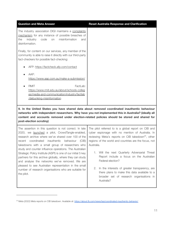| <b>Question and Meta Answer</b>                                                                                                                                                         | <b>Reset Australia Response and Clarification</b> |
|-----------------------------------------------------------------------------------------------------------------------------------------------------------------------------------------|---------------------------------------------------|
| The industry association DIGI maintains a complaints<br>mechanism for any instance of possible breaches of<br>misinformation<br>the<br>industry<br>code<br>on<br>and<br>disinformation. |                                                   |
| Finally, for content on our services, any member of the<br>community is able to raise it directly with our third-party<br>fact-checkers for possible fact-checking:                     |                                                   |
| AFP: https://factcheck.afp.com/contact                                                                                                                                                  |                                                   |
| AAP:<br>https://www.aap.com.au/make-a-submission/                                                                                                                                       |                                                   |
| <b>RMIT</b><br>FactLab:<br>https://www.rmit.edu.au/about/schools-colleg<br>es/media-and-communication/industry/factlab<br>/debunking-misinformation                                     |                                                   |

**9. In the United States you have shared data about removed coordinated inauthentic behaviour networks with independent researchers. Why have you not implemented this in Australia? (ideally all content and accounts removed under election-related policies should be stored and shared for post-election scrutiny)**

The assertion in this question is not correct. In late 2020, we [launched](https://about.fb.com/wp-content/uploads/2022/04/Meta-Quarterly-Adversarial-Threat-Report_Q1-2022.pdf) a pilot, CrowdTangle-enabled, research archive where we've shared over 100 of the recent coordinated inauthentic behaviour (CIB) takedowns with a small group of researchers who study and counter influence operations. The Australian Strategic Policy Institute (ASPI) is one of our initial 5 key partners for this archive globally, where they can study and analyse the networks we've removed. We are pleased to see Australian representation in the small number of research organisations who are suitable for the pilot.

The pilot referred to is a global report on CIB and cyber espionage with no mention of Australia. In reviewing Meta's reports on CIB takedown<sup>25</sup>, other regions of the world and countries are the focus, not Australia.

- 1. Will the next Quarterly Adversarial Threat Report include a focus on the Australian Federal election?
- 2. In the interests of greater transparency, are there plans to make this data available to a broader set of research organisations in Australia?

<sup>&</sup>lt;sup>25</sup> Meta (2022) Meta reports on CIB takedown. Available at: <https://about.fb.com/news/tag/coordinated-inauthentic-behavior/>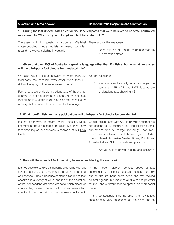**Question** and Meta Answer **Reset** Australia Response and Clarification **10. During the last United States election you labelled posts that were believed to be state-controlled media outlets. Why have you not implemented this in Australia?** The assertion in this question is not correct. We label state-controlled media outlets in many countries around the world, including in Australia. Thank you for this response. 1. Does this include pages or groups that are run by nation states? **11. Given that over 20% of Australians speak a language other than English at home, what languages will the third-party fact checks be translated into?** We also have a global network of more than 80 third-party fact-checkers who cover more than 60 different languages to combat misinformation. Fact-checks are available in the language of the original content. A piece of content in a non-English language that arises in Australia is eligible to be fact-checked by other global partners who operate in that language. As per Question 2, 1. are you able to clarify what languages the teams at AFP, AAP and RMIT FactLab are undertaking fact-checking in? **12. What non-English language publications will third-party fact checks be provided to?** It's not clear what is meant by this question. More information about the scope and eligibility of third-party fact checking on our services is available at our [Help](https://www.facebook.com/business/help/315131736305613?id=673052479947730.) **[Centre](https://www.facebook.com/business/help/315131736305613?id=673052479947730.)** Google collaborates with AAP to provide and translate fact-checks to 40 culturally and linguistically diverse publications free of charge (including: Koori Mail, Indian Link, Viet News, Epoch Times, Ngaarda Radio, Korean Herald, Australian Muslim Times, Phil Times, Almestaqbal and SBS' channels and platforms). 1. Are you able to provide a comparable figure? **13. How will the speed of fact checking be measured during the election?** It's not possible to give a timeframe around how long it takes a fact checker to verify content after it is posted on Facebook. This is because content is flagged to fact checkers in a variety of ways, and it is at the discretion of the independent fact checkers as to which pieces of content they review. The amount of time it takes a fact checker to verify a claim and undertake a fact check In the modern election contest, speed of fact checking is an essential success measure, not only due to the 24 hour news cycle, the fast moving political agenda, but most of all due to the potential for mis- and disinformation to spread virally on social media. It is understandable that the time taken by a fact checker may vary depending on the claim and its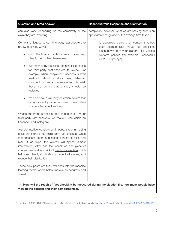| <b>Question and Meta Answer</b>                                                                                                                                                                                                                                                                                                                                                                                                                                                                                            | <b>Reset Australia Response and Clarification</b>                                                                                                                                                                            |
|----------------------------------------------------------------------------------------------------------------------------------------------------------------------------------------------------------------------------------------------------------------------------------------------------------------------------------------------------------------------------------------------------------------------------------------------------------------------------------------------------------------------------|------------------------------------------------------------------------------------------------------------------------------------------------------------------------------------------------------------------------------|
| can also vary, depending on the complexity of the<br>claim they are reviewing.                                                                                                                                                                                                                                                                                                                                                                                                                                             | complexity, however, what we are seeking here is an<br>approximate range and/or the average time taken.                                                                                                                      |
| Content is flagged to our third-party fact-checkers to<br>review in several ways:<br>third-party fact-checkers<br>proactively<br>our<br>identify the content themselves<br>our technology identifies potential false stories<br>for third-party fact-checkers to review. For<br>example, when people on Facebook submit<br>feedback about a story being false or<br>comment on an article expressing disbelief,<br>these are signals that a story should be<br>reviewed<br>we also have a similarity detection system that | Is debunked content, or content that has<br>1.<br>been deemed false through fact checking,<br>taken down from your platform if it violates<br>platform policies (for example, Facebook's<br>COVID-19 policy <sup>26</sup> )? |
| helps us identify more debunked content than<br>what our fact checkers see.<br>What's important is once a story is debunked by our                                                                                                                                                                                                                                                                                                                                                                                         |                                                                                                                                                                                                                              |
| third party fact checkers, we make it less visible on<br>Facebook and Instagram.                                                                                                                                                                                                                                                                                                                                                                                                                                           |                                                                                                                                                                                                                              |
| Artificial intelligence plays an important role in helping<br>scale the efforts of our third party fact checkers. Once<br>fact-checkers deem a piece of content is false and<br>mark it as false, the overlay will appear almost<br>immediately. After one fact check on one piece of<br>content, we're able to kick off similarity detection which<br>helps us identify duplicates of debunked stories, and<br>reduce their distribution.                                                                                 |                                                                                                                                                                                                                              |
| These new posts are then fed back into the machine<br>learning model which helps improve its accuracy and<br>speed.                                                                                                                                                                                                                                                                                                                                                                                                        |                                                                                                                                                                                                                              |
| $\pm$ 14. How will the reach of fact checking be measured during the election (i.e. how many neonle have                                                                                                                                                                                                                                                                                                                                                                                                                   |                                                                                                                                                                                                                              |

**14. How will the reach of fact checking be measured during the election (i.e. how many people have viewed the content and their demographics)?**

<sup>&</sup>lt;sup>26</sup> Facebook (2022) COVID-19 and Vaccine Policy Updates & Protections. Available at: <https://www.facebook.com/help/230764881494641/>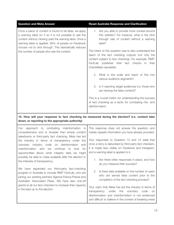| <b>Question and Meta Answer</b>                                                                                                                                                                                                                                                                                                           | <b>Reset Australia Response and Clarification</b>                                                                                                                                                                                                                                                                                                                                                                                                                                                                                                                                                                                                                                                                 |
|-------------------------------------------------------------------------------------------------------------------------------------------------------------------------------------------------------------------------------------------------------------------------------------------------------------------------------------------|-------------------------------------------------------------------------------------------------------------------------------------------------------------------------------------------------------------------------------------------------------------------------------------------------------------------------------------------------------------------------------------------------------------------------------------------------------------------------------------------------------------------------------------------------------------------------------------------------------------------------------------------------------------------------------------------------------------------|
| Once a piece of content is found to be false, we apply<br>a warning label on it so it is not possible to see the<br>content without clicking past the warning label. Once a<br>warning label is applied, 95% of people on Facebook<br>choose not to click through. This dramatically reduces<br>the number of people who see the content. | 1. Are you able to provide more context around<br>this statistic? For instance, what is the click<br>through rate of content without a warning<br>label?<br>The intent of this question was to also understand the<br>reach of the fact checking outputs (not only the<br>content subject to fact checking). For example, RMIT<br>FactLab publishes their fact checks in their<br>CheckMate newsletter.<br>2. What is the scale and reach of this into<br>various audience segments?<br>3. Is it reaching target audiences (i.e. those who<br>are viewing the false content)?<br>This is a crucial metric for understanding the success<br>of fact checking as a tactic for combating mis- and<br>disinformation. |
|                                                                                                                                                                                                                                                                                                                                           |                                                                                                                                                                                                                                                                                                                                                                                                                                                                                                                                                                                                                                                                                                                   |

## **15. How will your response to fact checking be measured during the election? (i.e. content take down, or reporting to the appropriate authority)**

| approach to combating misinformation<br>Our<br><b>IS</b><br>comprehensive and is broader than simply content<br>takedowns or third-party fact checking. Meta has led                                                                                                                                                    | This response does not answer the question, and<br>merely repeats information you have already provided.                                                                                                                  |
|-------------------------------------------------------------------------------------------------------------------------------------------------------------------------------------------------------------------------------------------------------------------------------------------------------------------------|---------------------------------------------------------------------------------------------------------------------------------------------------------------------------------------------------------------------------|
| the industry in terms of transparency under the<br>industry code on disinformation<br>and<br>voluntary<br>continue<br>misinformation<br>look<br>for<br>and<br>to<br>we<br>opportunities about what integrity data we might                                                                                              | Your responses to Question 13 and 14 state that<br>once a story is debunked by third party fact checkers,<br>it is made less visible on Facebook and Instagram,<br>and a warning label is applied to it.                  |
| possibly be able to make available after the election in<br>the interests of transparency.                                                                                                                                                                                                                              | Are there other responses in place, and how<br>1.<br>do you measure their success?                                                                                                                                        |
| We have expanded our third-party fact-checking<br>program in Australia to include RMIT FactLab, who are<br>joining our existing partners Agence France Presse and<br>Australian Associated Press. We have also one-off<br>grants to all our fact-checkers to increase their capacity<br>in the lead up to the election. | Is there data available on the number of users<br>2.<br>who are served false content prior to the<br>completion of the fact checking process?                                                                             |
|                                                                                                                                                                                                                                                                                                                         | Your claim that Meta has led the industry in terms of<br>transparency under the voluntary<br>code<br>on<br>disinformation and misinformation is not evidenced<br>and difficult to believe in the context of breaking news |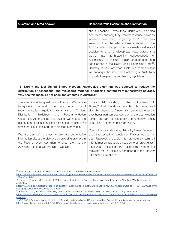| <b>Question and Meta Answer</b>                                                                                                                                                                                                                                                                                                                                                                         | <b>Reset Australia Response and Clarification</b>                                                                                                                                                                                                                                                                                                                                                                                                                                                                                                                                                                                                                   |
|---------------------------------------------------------------------------------------------------------------------------------------------------------------------------------------------------------------------------------------------------------------------------------------------------------------------------------------------------------------------------------------------------------|---------------------------------------------------------------------------------------------------------------------------------------------------------------------------------------------------------------------------------------------------------------------------------------------------------------------------------------------------------------------------------------------------------------------------------------------------------------------------------------------------------------------------------------------------------------------------------------------------------------------------------------------------------------------|
|                                                                                                                                                                                                                                                                                                                                                                                                         | about Facebook executives deliberately shielding<br>documents showing they wanted to cause havoc to<br>influence new media bargaining laws $27$ . The facts<br>emerging from the whistleblower complaint to the<br>ACCC confirms that your company made a calculated<br>decision to enact a widespread news outage that<br>life-threatening<br>consequences<br>would<br>have<br>for<br>Australians, to secure major amendments and<br>concessions in the News Media Bargaining Code <sup>28</sup> .<br>Contrary to your assertion, Meta is a company that<br>will endanger the safety and wellbeing of Australians<br>to evade transparency and binding regulation. |
| 16. During the last United States election, Facebook's algorithm was adapted to reduce the<br>distribution of sensational and misleading material, prioritising content from authoritative sources.<br>Why has this measure not been implemented in Australia?                                                                                                                                          |                                                                                                                                                                                                                                                                                                                                                                                                                                                                                                                                                                                                                                                                     |
| The assertion in the question is not correct. We provide<br>how<br>around<br>ranking<br>transparency<br>our<br>and<br>recommendation algorithms work via our Content<br>Distribution Guidelines<br>and<br>Recommendation<br>Guidelines. As these policies outline, we reduce the<br>distribution of sensational and misleading material at all<br>times, not just in the lead-up to election campaigns. | It was widely reported, including by the New York<br>Times, <sup>29</sup> that Facebook adapted its news feed<br>algorithm change to lift news from authoritative outlets<br>over hyper-partisan sources during the post-election<br>period as part of Facebook's emergency "break<br>glass" plan to combat misinformation.<br>One of the most shocking claims by former Facebook                                                                                                                                                                                                                                                                                   |
| We are also taking steps to promote authoritative<br>information about the election, by providing prompts in<br>the Feed of every Australian to direct them to the<br>Australian Electoral Commission's website.                                                                                                                                                                                        | executive turned whistleblower, Frances Haugen, is<br>that Facebook's decision to prematurely turn off<br>misinformation safeguards (i.e. a suite of "break glass"<br>algorithm<br>including the<br>adaptation)<br>measures,<br>following the US election, contributed to the January                                                                                                                                                                                                                                                                                                                                                                               |

6 Capitol insurrection<sup>30</sup>.

 $27$  Swan, D. (2022) Facebook executives 'hid misconduct' amid news ban. Available at:

[https://www.theaustralian.com.au/business/technology/facebook-executives-hid-misconduct-amid-news-ban/news-story/26a0f7ac8f50641213](https://www.theaustralian.com.au/business/technology/facebook-executives-hid-misconduct-amid-news-ban/news-story/26a0f7ac8f50641213199eee0d8114b6) [199eee0d8114b6](https://www.theaustralian.com.au/business/technology/facebook-executives-hid-misconduct-amid-news-ban/news-story/26a0f7ac8f50641213199eee0d8114b6)

 $^{28}$  Hagey, K., Cherney, M. & Horwitz, J. (2022) Facebook Deliberately Caused Havoc in Australia to Influence New Law, Whistleblowers Say. Available at:

[https://www.wsj.com/articles/facebook-deliberately-caused-havoc-in-australia-to-influence-new-law-whistleblowers-say-11651768302?st=uvvq](https://www.wsj.com/articles/facebook-deliberately-caused-havoc-in-australia-to-influence-new-law-whistleblowers-say-11651768302?st=uvvqri48znpp5zw&reflink=article_copyURL_share) [ri48znpp5zw&reflink=article\\_copyURL\\_share](https://www.wsj.com/articles/facebook-deliberately-caused-havoc-in-australia-to-influence-new-law-whistleblowers-say-11651768302?st=uvvqri48znpp5zw&reflink=article_copyURL_share)

<sup>&</sup>lt;sup>29</sup> Roose, K. (2020) Facebook Deliberately Caused Havoc in Australia to Influence New Law, Whistleblowers Say. Available at: [https://www.nytimes.com/2020/12/16/technology/facebook-reverses-postelection-algorithm-changes-that-boosted-news-from-authoritative-so](https://www.nytimes.com/2020/12/16/technology/facebook-reverses-postelection-algorithm-changes-that-boosted-news-from-authoritative-sources.html) [urces.html](https://www.nytimes.com/2020/12/16/technology/facebook-reverses-postelection-algorithm-changes-that-boosted-news-from-authoritative-sources.html)

<sup>&</sup>lt;sup>30</sup> ABC (2021) Facebook rushed to ditch misinformation safeguards after US election and fed Capitol riot, whistleblower claims. Available at: <https://www.abc.net.au/news/2021-10-04/facebook-whistleblower-on-capitol-riots-misinformation/100512688>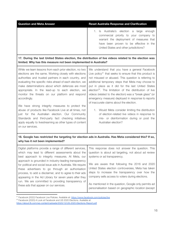| <b>Question and Meta Answer</b> | <b>Reset Australia Response and Clarification</b>                                                                                                                                                                |
|---------------------------------|------------------------------------------------------------------------------------------------------------------------------------------------------------------------------------------------------------------|
|                                 | Is Australia's election a large enough<br>commercial priority to your company to<br>warrant the deployment of measures that<br>have been proven to be effective in the<br>United States and other jurisdictions? |

#### **17. During the last United States election, the distribution of live videos related to the election was limited. Why has this measure not been implemented in Australia?**

While we learn lessons from each prior election, no two elections are the same. Working closely with elections authorities and trusted partners in each country, and evaluating the specific risks ahead of each election, we make determinations about which defences are most appropriate. In the lead-up to each election, we monitor the threats on our platform and respond accordingly.

We have strong integrity measures to protect the abuse of products like Facebook Live at all times, not just for the Australian election. Our Community Standards and third-party fact checking initiatives apply equally to livestreaming as other types of content on our services.

We understand that you have a general Facebook Live policy<sup>31</sup> that seeks to ensure that this product is not misused or abused. This question is referring to additional temporary steps that Meta may choose to put in place as it did for the last United States election<sup>32</sup>. The limitation of the distribution of live videos (related to the election) was a "break glass" (or emergency measure) deployed in response to reports of inaccurate claims about the election.

1. Would Meta consider limiting the distribution of election-related live videos in response to mis- or disinformation during or post the Australian election?

## **18. Google has restricted the targeting for election ads in Australia. Has Meta considered this? If so, why has it not been implemented?**

| Digital platforms provide a range of different services,    | This response does not answer the question. This     |
|-------------------------------------------------------------|------------------------------------------------------|
| which may lead to different assessments about the           | question is about ad targeting, not about ad review  |
| best approach to integrity measures. At Meta, our           | systems or ad transparency.                          |
| approach is grounded in industry-leading transparency       |                                                      |
| for political and social issue ads in Australia. We require | We are aware that following the 2016 and 2020        |
| these advertisers to go through an authorisation            | United States election controversies, Meta has taken |
| process, to add a disclaimer, and to agree to their ads     | steps to increase the transparency over how the      |
| appearing in the Ad Library for seven years after they      | company sells access to voters during elections.     |
| run. We are committed to providing transparency of          |                                                      |
| these ads that appear on our services.                      | As mentioned in the question, Google only permits ad |
|                                                             | personalisation based on geographic location (except |

<sup>&</sup>lt;sup>32</sup> Facebook (2020) A Look at Facebook and US 2020 Elections. Available at: <sup>31</sup> Facebook (2022) Facebook Live Policies. Available at: <https://www.facebook.com/policies/live>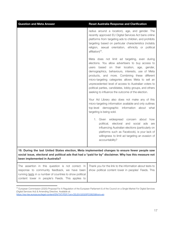| <b>Question and Meta Answer</b>                                                                                                                                                                                                              | <b>Reset Australia Response and Clarification</b>                                                                                                                                                                                                                                                                                                                                                                                                                                                                                                                                                                                                          |
|----------------------------------------------------------------------------------------------------------------------------------------------------------------------------------------------------------------------------------------------|------------------------------------------------------------------------------------------------------------------------------------------------------------------------------------------------------------------------------------------------------------------------------------------------------------------------------------------------------------------------------------------------------------------------------------------------------------------------------------------------------------------------------------------------------------------------------------------------------------------------------------------------------------|
|                                                                                                                                                                                                                                              | radius around a location), age, and gender. The<br>recently approved EU Digital Services Act bans online<br>platforms from targeting ads to children, and prohibits<br>targeting based on particular characteristics (notably<br>religion, sexual orientation, ethnicity or political<br>affiliation) <sup>33</sup> .                                                                                                                                                                                                                                                                                                                                      |
|                                                                                                                                                                                                                                              | Meta does not limit ad targeting, even during<br>elections. You allow advertisers to buy access to<br>on their<br>location, age, gender,<br>users based<br>demographics, behaviours, interests, use of Meta<br>products, and more. Combining these different<br>micro-targeting categories allows Meta to sell an<br>unprecedented level of access to Australian voters to<br>political parties, candidates, lobby groups, and others<br>seeking to influence the outcome of the election.<br>Your Ad Library also does not make any of this<br>micro-targeting information available and only outlines<br>top-level demographic<br>information about what |
|                                                                                                                                                                                                                                              | targeting is being sold.<br>1. Given widespread concern<br>about how<br>political, electoral<br>and<br>social<br>ads<br>are<br>influencing Australian elections (particularly on<br>platforms such as Facebook), is your lack of<br>willingness to limit ad targeting an evasion of<br>accountability?                                                                                                                                                                                                                                                                                                                                                     |
| 19. During the last United States election, Meta implemented changes to ensure fewer people saw<br>social issue, electoral and political ads that had a "paid for by" disclaimer. Why has this measure not<br>been implemented in Australia? |                                                                                                                                                                                                                                                                                                                                                                                                                                                                                                                                                                                                                                                            |
| The assertion in this question is not correct. In<br>response to community feedback, we have been<br>running tests in a number of countries to show political<br>content lower in people's Feeds. This applies to                            | Thank you for the link to the information about tests to<br>show political content lower in peoples' Feeds. This                                                                                                                                                                                                                                                                                                                                                                                                                                                                                                                                           |

<sup>33</sup> European Commission (2020) Proposal For A Regulation of the European Parliament & of the Council on a Single Market For Digital Services (Digital Services Act) & Amending Directive. Available at:

<https://eur-lex.europa.eu/legal-content/EN/TXT/PDF/?uri=CELEX:52020PC0825&from=en>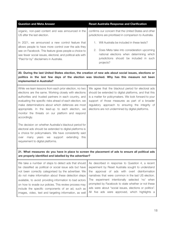| <b>Question and Meta Answer</b>                                                                                                                                                                                                                                                                                                                                                                                                                                                                                                                                                                                                                                                                 | <b>Reset Australia Response and Clarification</b>                                                                                                                                                                                                                                                                                                                                                                                    |
|-------------------------------------------------------------------------------------------------------------------------------------------------------------------------------------------------------------------------------------------------------------------------------------------------------------------------------------------------------------------------------------------------------------------------------------------------------------------------------------------------------------------------------------------------------------------------------------------------------------------------------------------------------------------------------------------------|--------------------------------------------------------------------------------------------------------------------------------------------------------------------------------------------------------------------------------------------------------------------------------------------------------------------------------------------------------------------------------------------------------------------------------------|
| organic, non-paid content and was announced in the<br>US after the last election.                                                                                                                                                                                                                                                                                                                                                                                                                                                                                                                                                                                                               | confirms our concern that the United States and other<br>jurisdictions are prioritised in comparison to Australia.                                                                                                                                                                                                                                                                                                                   |
| In 2021, we announced a new control feature that<br>allows people to have more control over the ads they<br>see on Facebook. This feature gives people a choice to<br>see fewer social issues, electoral, and political ads with<br>"Paid for by" disclaimers in Australia.                                                                                                                                                                                                                                                                                                                                                                                                                     | 1. Will Australia be included in these tests?<br>Does Meta take into consideration upcoming<br>2.<br>national elections when determining which<br>jurisdictions should be included in such<br>projects?                                                                                                                                                                                                                              |
| 20. During the last United States election, the creation of new ads about social issues, elections or<br>politics in the last few days of the election was blocked. Why has this measure not been<br>implemented in Australia?                                                                                                                                                                                                                                                                                                                                                                                                                                                                  |                                                                                                                                                                                                                                                                                                                                                                                                                                      |
| While we learn lessons from each prior election, no two<br>elections are the same. Working closely with elections<br>authorities and trusted partners in each country, and<br>evaluating the specific risks ahead of each election, we<br>make determinations about which defences are most<br>appropriate. In the lead-up to each election, we<br>monitor the threats on our platform and respond<br>accordingly.<br>The decision on whether Australia's blackout period for<br>electoral ads should be extended to digital platforms is<br>a choice for policymakers. We have consistently said<br>extending<br>this<br>many years we<br>support<br>over<br>requirement to digital platforms. | We agree that the blackout period for electoral ads<br>should be extended to digital platforms, and that this<br>is a matter for policymakers. We look forward to your<br>support of those measures as part of a broader<br>regulatory approach to ensuring the integrity of<br>elections are not undermined by digital platforms.                                                                                                   |
| 21. What measures do you have in place to screen the placement of ads to ensure all political ads<br>are properly identified and labelled by the advertiser?                                                                                                                                                                                                                                                                                                                                                                                                                                                                                                                                    |                                                                                                                                                                                                                                                                                                                                                                                                                                      |
| We take a number of steps to detect ads that should<br>be classified as political or social issue ads but have<br>not been correctly categorised by the advertiser. We<br>do not make information about these detection steps<br>available, to avoid providing information to bad actors<br>on how to evade our policies. This review process may<br>include the specific components of an ad, such as<br>images, video, text and targeting information, as well                                                                                                                                                                                                                                | As described in response to Question 4, a recent<br>experiment by Reset Australia sought to understand<br>the approval of ads with overt disinformation<br>narratives that were common in the last US election.<br>The experiment intentionally selected 'no' when<br>prompted by Facebook to state whether or not these<br>ads were about "social issues, elections or politics".<br>All five ads were approved, which highlights a |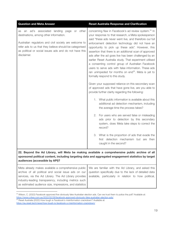| <b>Question and Meta Answer</b>                                                                                                                                                                                                                                                           | <b>Reset Australia Response and Clarification</b>                                                                                                                                                                                                                                                                                                                                                                                                                                                                                                                                                                                                                                         |
|-------------------------------------------------------------------------------------------------------------------------------------------------------------------------------------------------------------------------------------------------------------------------------------------|-------------------------------------------------------------------------------------------------------------------------------------------------------------------------------------------------------------------------------------------------------------------------------------------------------------------------------------------------------------------------------------------------------------------------------------------------------------------------------------------------------------------------------------------------------------------------------------------------------------------------------------------------------------------------------------------|
| an ad's associated landing<br>page or other<br>as<br>destinations, among other information.<br>Australian regulators and civil society are welcome to<br>refer ads to us that they believe should be categorised<br>as political or social issues ads and do not have this<br>disclaimer. | concerning flaw in Facebook's ad review system. <sup>34</sup> In<br>your response to that research, a Meta spokesperson<br>said "these ads never went live, and therefore our full<br>enforcement detection technology did not have an<br>opportunity to pick up these ads". However, this<br>assertion that there is an additional scan of approved<br>ads after the ad goes live has been challenged by an<br>earlier Reset Australia study. That experiment utilised<br>a consenting control group of Australian Facebook<br>users to serve ads with false information. These ads<br>ran unimpeded for months on end <sup>35</sup> . Meta is yet to<br>formally respond to this study. |
|                                                                                                                                                                                                                                                                                           | Given your supposed reliance on this secondary scan<br>of approved ads that have gone live, are you able to<br>provide further clarity regarding the following:                                                                                                                                                                                                                                                                                                                                                                                                                                                                                                                           |
|                                                                                                                                                                                                                                                                                           | 1. What public information is available about this<br>additional ad detection mechanism, including<br>the average time the process takes?                                                                                                                                                                                                                                                                                                                                                                                                                                                                                                                                                 |
|                                                                                                                                                                                                                                                                                           | For users who are served false or misleading<br>2.<br>ads prior to detection by this secondary<br>system, does Meta take steps to correct the<br>record?                                                                                                                                                                                                                                                                                                                                                                                                                                                                                                                                  |
|                                                                                                                                                                                                                                                                                           | 3. What is the proportion of ads that evade the<br>first detection mechanism but are then<br>caught in the second?                                                                                                                                                                                                                                                                                                                                                                                                                                                                                                                                                                        |
| 22. Beyond the Ad Library, will Meta be making available a comprehensive public archive of all<br>sponsored political content, including targeting data and aggregated engagement statistics by target<br>audiences (accessible by API)?                                                  |                                                                                                                                                                                                                                                                                                                                                                                                                                                                                                                                                                                                                                                                                           |

| Meta already makes available a comprehensive public   We are familiar with the Ad Library, and asked this     |  |
|---------------------------------------------------------------------------------------------------------------|--|
| archive of all political and social issue ads on our question specifically due to the lack of detailed data   |  |
| services, via the Ad Library. The Ad Library provides   available, particularly in relation to how political, |  |
| industry-leading transparency, including metrics such                                                         |  |
| as estimated audience size, impressions, and statistics                                                       |  |

<sup>&</sup>lt;sup>34</sup> Wilson, C. (2022) Facebook approved five obviously fake Australian election ads. Can we trust them to police the poll? Available at: <https://www.crikey.com.au/2022/02/28/facebook-approved-obviously-fake-australian-election-ads/>

 $35$  Reset Australia (2022) How tough is Facebook's misinformation crackdown? Available at: <https://au.reset.tech/news/how-tough-is-facebook-s-misinformation-crackdown/>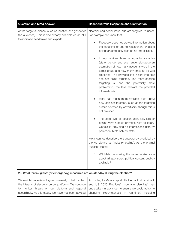| <b>Question and Meta Answer</b>                                                                                                                                                                                               | <b>Reset Australia Response and Clarification</b>                                                                                                                                                                                                                                                                                                                                                         |
|-------------------------------------------------------------------------------------------------------------------------------------------------------------------------------------------------------------------------------|-----------------------------------------------------------------------------------------------------------------------------------------------------------------------------------------------------------------------------------------------------------------------------------------------------------------------------------------------------------------------------------------------------------|
| of the target audience (such as location and gender of<br>the audience). This is also already available via an API<br>to approved academics and experts.                                                                      | electoral and social issue ads are targeted to users.<br>For example, we know that:                                                                                                                                                                                                                                                                                                                       |
|                                                                                                                                                                                                                               | Facebook does not provide information about<br>the targeting of ads to researchers or users<br>being targeted, only data on ad impressions.                                                                                                                                                                                                                                                               |
|                                                                                                                                                                                                                               | It only provides three demographic variables<br>(state, gender and age range) alongside an<br>estimation of how many accounts were in the<br>target group and how many times an ad was<br>displayed. This provides little insight into how<br>ads are being targeted. The more specific<br>targeting<br>is, and<br>the potentially more<br>problematic, the less relevant the provided<br>information is. |
|                                                                                                                                                                                                                               | Meta has much more available data about<br>how ads are targeted, such as the targeting<br>criteria selected by advertisers, though this is<br>not provided.                                                                                                                                                                                                                                               |
|                                                                                                                                                                                                                               | The state level of location granularity falls far<br>behind what Google provides in its ad library.<br>Google is providing ad impressions data by<br>postcode; Meta only by state.                                                                                                                                                                                                                        |
|                                                                                                                                                                                                                               | Meta cannot describe the transparency provided by<br>the Ad Library as "industry-leading". As the original<br>question states:                                                                                                                                                                                                                                                                            |
|                                                                                                                                                                                                                               | 1. Will Meta be making this more detailed data<br>about all sponsored political content publicly<br>available?                                                                                                                                                                                                                                                                                            |
| 23. What 'break glass' (or emergency) measures are on standby during the election?                                                                                                                                            |                                                                                                                                                                                                                                                                                                                                                                                                           |
| We maintain a series of systems already to help protect<br>the integrity of elections on our platforms. We continue<br>to monitor threats on our platform and respond<br>accordingly. At this stage, we have not been advised | According to Meta's report titled 'A Look at Facebook<br>and US 2020 Elections', "scenario planning" was<br>undertaken in advance "to ensure we could adapt to<br>circumstances in real-time", including<br>changing                                                                                                                                                                                      |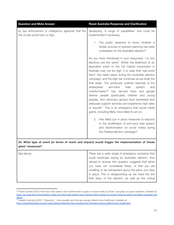| <b>Question and Meta Answer</b>                                                          | <b>Reset Australia Response and Clarification</b>                                                                                                                                                                                                                                                                                                                                                                                                                                                                                                                                                                                                                                                                                                                                                                                                                                                                                                                                        |
|------------------------------------------------------------------------------------------|------------------------------------------------------------------------------------------------------------------------------------------------------------------------------------------------------------------------------------------------------------------------------------------------------------------------------------------------------------------------------------------------------------------------------------------------------------------------------------------------------------------------------------------------------------------------------------------------------------------------------------------------------------------------------------------------------------------------------------------------------------------------------------------------------------------------------------------------------------------------------------------------------------------------------------------------------------------------------------------|
| by law enforcement or intelligence agencies that the<br>risk of real-world harm is high. | developing "a range of capabilities" that could be<br>implemented if necessary.                                                                                                                                                                                                                                                                                                                                                                                                                                                                                                                                                                                                                                                                                                                                                                                                                                                                                                          |
|                                                                                          | 1. The public deserves to know whether a<br>similar process of scenario planning has been<br>undertaken for the Australian election?                                                                                                                                                                                                                                                                                                                                                                                                                                                                                                                                                                                                                                                                                                                                                                                                                                                     |
|                                                                                          | As you have mentioned in your responses, "no two<br>elections are the same". Whilst the likelihood of an<br>equivalent event to the US Capitol insurrection in<br>Australia may not be high, it is clear that 'real-world<br>harm' has taken place during the Australian election<br>campaign, and the high risk continues as we enter the<br>final week. The previously outlined example of the<br>widespread<br>anti-trans<br>hate<br>speech<br>and<br>misinformation <sup>36</sup> has harmed trans and gender<br>diverse people (particularly children and young<br>people), who advocacy groups have expressed lack<br>adequate support services and experience high rates<br>of suicide <sup>37</sup> . This is an emergency that social media<br>giants, including Meta, have failed to act on.<br>2. Has Meta put in place measures to respond<br>to the proliferation of anti-trans hate speech<br>and disinformation on social media during<br>this Federal election campaign? |
|                                                                                          |                                                                                                                                                                                                                                                                                                                                                                                                                                                                                                                                                                                                                                                                                                                                                                                                                                                                                                                                                                                          |

**24. What type of event (in terms of reach and impact) would trigger the implementation of 'break glass' measures?**

| See above. | There are a wide range of emergency scenarios that   |
|------------|------------------------------------------------------|
|            | could eventuate during an Australian election. Your  |
|            | refusal to answer this question suggests that either |
|            | you have not considered these, or that you are       |
|            | unwilling to be transparent about the plans you have |
|            | in place. This is disappointing as we head into the  |
|            | final days of the election, as well as the critical  |
|            |                                                      |

<sup>36</sup> Reset Australia (2022) Anti-trans hate speech and misinformation surges on social media as Deves' campaign occupies headlines. Available at: [https://au.reset.tech/news/election-radar-anti-trans-hate-speech-and-misinformation-surges-on-social-media-as-deves-campaign-occupies-hea](https://au.reset.tech/news/election-radar-anti-trans-hate-speech-and-misinformation-surges-on-social-media-as-deves-campaign-occupies-headlines/) [dlines/](https://au.reset.tech/news/election-radar-anti-trans-hate-speech-and-misinformation-surges-on-social-media-as-deves-campaign-occupies-headlines/)

 $37$  Equality Australia (2022). "Lifesaving" – trans equality and clinicians groups defend trans healthcare. Available at: <https://equalityaustralia.org.au/media-release-lifesaving-trans-equality-and-clinicians-groups-defend-trans-healthcare/>